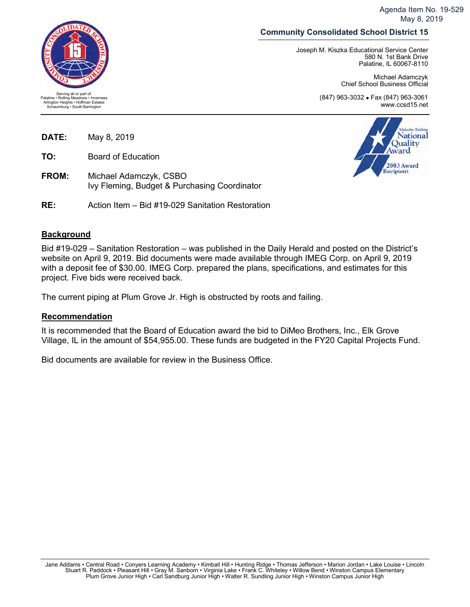Agenda Item No. 19-529 May 8, 2019

## **Community Consolidated School District 15**

Joseph M. Kiszka Educational Service Center 580 N. 1st Bank Drive Palatine, IL 60067-8110

> Michael Adamczyk Chief School Business Official

(847) 963-3032 • Fax (847) 963-3061 www.ccsd15.net

**DATE:** May 8, 2019

**TO:** Board of Education

**FROM:** Michael Adamczyk, CSBO Ivy Fleming, Budget & Purchasing Coordinator

**RE:** Action Item – Bid #19-029 Sanitation Restoration

## **Background**

Bid #19-029 – Sanitation Restoration – was published in the Daily Herald and posted on the District's website on April 9, 2019. Bid documents were made available through IMEG Corp. on April 9, 2019 with a deposit fee of \$30.00. IMEG Corp. prepared the plans, specifications, and estimates for this project. Five bids were received back.

The current piping at Plum Grove Jr. High is obstructed by roots and failing.

## **Recommendation**

It is recommended that the Board of Education award the bid to DiMeo Brothers, Inc., Elk Grove Village, IL in the amount of \$54,955.00. These funds are budgeted in the FY20 Capital Projects Fund.

Bid documents are available for review in the Business Office.



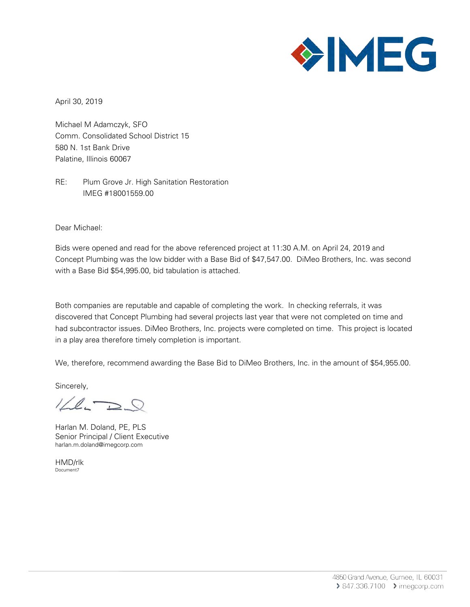

April 30, 2019

Michael M Adamczyk, SFO Comm. Consolidated School District 15 580 N. 1st Bank Drive Palatine, Illinois 60067

RE: Plum Grove Jr. High Sanitation Restoration IMEG #18001559.00

Dear Michael:

Bids were opened and read for the above referenced project at 11:30 A.M. on April 24, 2019 and Concept Plumbing was the low bidder with a Base Bid of \$47,547.00. DiMeo Brothers, Inc. was second with a Base Bid \$54,995.00, bid tabulation is attached.

Both companies are reputable and capable of completing the work. In checking referrals, it was discovered that Concept Plumbing had several projects last year that were not completed on time and had subcontractor issues. DiMeo Brothers, Inc. projects were completed on time. This project is located in a play area therefore timely completion is important.

We, therefore, recommend awarding the Base Bid to DiMeo Brothers, Inc. in the amount of \$54,955.00.

Sincerely,

 $1/2.72$ 

Harlan M. Doland, PE, PLS Senior Principal / Client Executive harlan.m.doland@imegcorp.com

HMD/rlk Document7